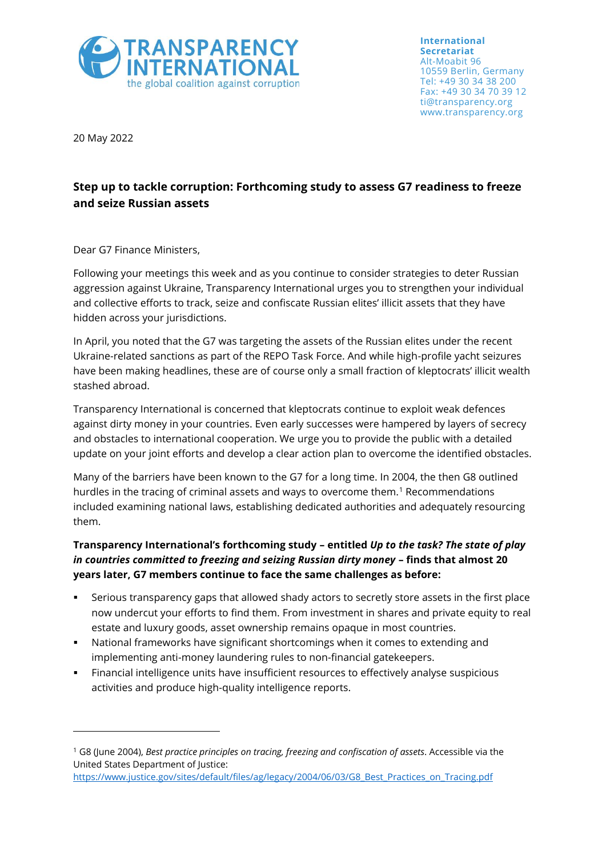

**International Secretariat** Alt-Moabit 96 10559 Berlin, Germany Tel: +49 30 34 38 200 Fax: +49 30 34 70 39 12 ti@transparency.org www.transparency.org

20 May 2022

## **Step up to tackle corruption: Forthcoming study to assess G7 readiness to freeze and seize Russian assets**

Dear G7 Finance Ministers,

Following your meetings this week and as you continue to consider strategies to deter Russian aggression against Ukraine, Transparency International urges you to strengthen your individual and collective efforts to track, seize and confiscate Russian elites' illicit assets that they have hidden across your jurisdictions.

In April, you noted that the G7 was targeting the assets of the Russian elites under the recent Ukraine-related sanctions as part of the REPO Task Force. And while high-profile yacht seizures have been making headlines, these are of course only a small fraction of kleptocrats' illicit wealth stashed abroad.

Transparency International is concerned that kleptocrats continue to exploit weak defences against dirty money in your countries. Even early successes were hampered by layers of secrecy and obstacles to international cooperation. We urge you to provide the public with a detailed update on your joint efforts and develop a clear action plan to overcome the identified obstacles.

Many of the barriers have been known to the G7 for a long time. In 2004, the then G8 outlined hurdles in the tracing of criminal assets and ways to overcome them.<sup>1</sup> Recommendations included examining national laws, establishing dedicated authorities and adequately resourcing them.

## **Transparency International's forthcoming study – entitled** *Up to the task? The state of play in countries committed to freezing and seizing Russian dirty money - finds that almost 20* **years later, G7 members continue to face the same challenges as before:**

- Serious transparency gaps that allowed shady actors to secretly store assets in the first place now undercut your efforts to find them. From investment in shares and private equity to real estate and luxury goods, asset ownership remains opaque in most countries.
- National frameworks have significant shortcomings when it comes to extending and implementing anti-money laundering rules to non-financial gatekeepers.
- Financial intelligence units have insufficient resources to effectively analyse suspicious activities and produce high-quality intelligence reports.

<sup>1</sup> G8 (June 2004), *Best practice principles on tracing, freezing and confiscation of assets*. Accessible via the United States Department of Justice:

[https://www.justice.gov/sites/default/files/ag/legacy/2004/06/03/G8\\_Best\\_Practices\\_on\\_Tracing.pdf](https://www.justice.gov/sites/default/files/ag/legacy/2004/06/03/G8_Best_Practices_on_Tracing.pdf)